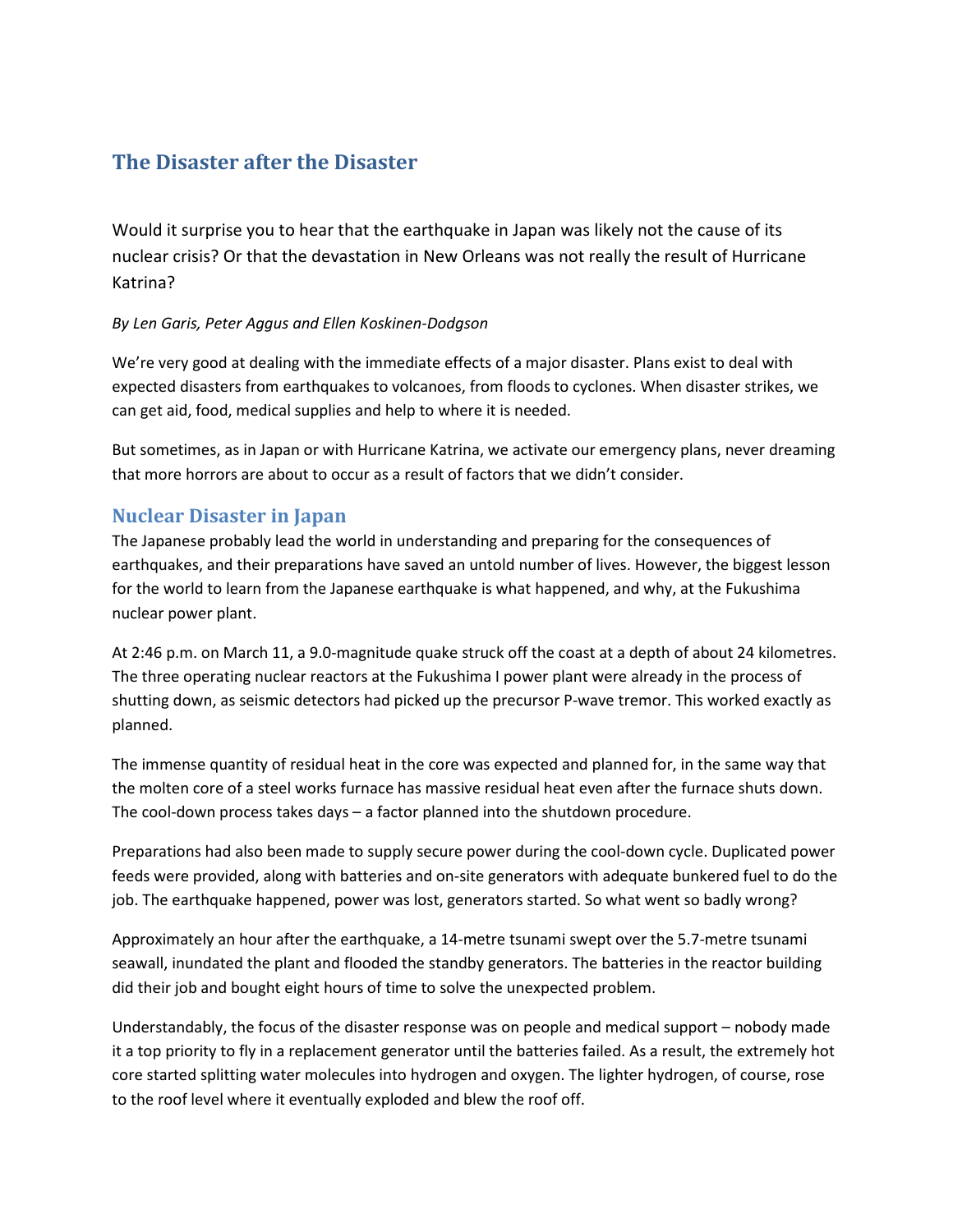# **The Disaster after the Disaster**

Would it surprise you to hear that the earthquake in Japan was likely not the cause of its nuclear crisis? Or that the devastation in New Orleans was not really the result of Hurricane Katrina?

#### *By Len Garis, Peter Aggus and Ellen Koskinen-Dodgson*

We're very good at dealing with the immediate effects of a major disaster. Plans exist to deal with expected disasters from earthquakes to volcanoes, from floods to cyclones. When disaster strikes, we can get aid, food, medical supplies and help to where it is needed.

But sometimes, as in Japan or with Hurricane Katrina, we activate our emergency plans, never dreaming that more horrors are about to occur as a result of factors that we didn't consider.

### **Nuclear Disaster in Japan**

The Japanese probably lead the world in understanding and preparing for the consequences of earthquakes, and their preparations have saved an untold number of lives. However, the biggest lesson for the world to learn from the Japanese earthquake is what happened, and why, at the Fukushima nuclear power plant.

At 2:46 p.m. on March 11, a 9.0-magnitude quake struck off the coast at a depth of about 24 kilometres. The three operating nuclear reactors at th[e Fukushima](http://en.wikipedia.org/wiki/Fukushima_I_Nuclear_Power_Plant) I power plant were already in the process of shutting down, as seismic detectors had picked up the precursor P-wave tremor. This worked exactly as planned.

The immense quantity of residual heat in the core was expected and planned for, in the same way that the molten core of a steel works furnace has massive residual heat even after the furnace shuts down. The cool-down process takes days – a factor planned into the shutdown procedure.

Preparations had also been made to supply secure power during the cool-down cycle. Duplicated power feeds were provided, along with batteries and on-site generators with adequate bunkered fuel to do the job. The earthquake happened, power was lost, generators started. So what went so badly wrong?

Approximately an hour after the earthquake, a 14-metre tsunami swept over the 5.7-metre tsunami seawall, inundated the plant and flooded the standby generators. The batteries in the reactor building did their job and bought eight hours of time to solve the unexpected problem.

Understandably, the focus of the disaster response was on people and medical support – nobody made it a top priority to fly in a replacement generator until the batteries failed. As a result, the extremely hot core started splitting water molecules into hydrogen and oxygen. The lighter hydrogen, of course, rose to the roof level where it eventually exploded and blew the roof off.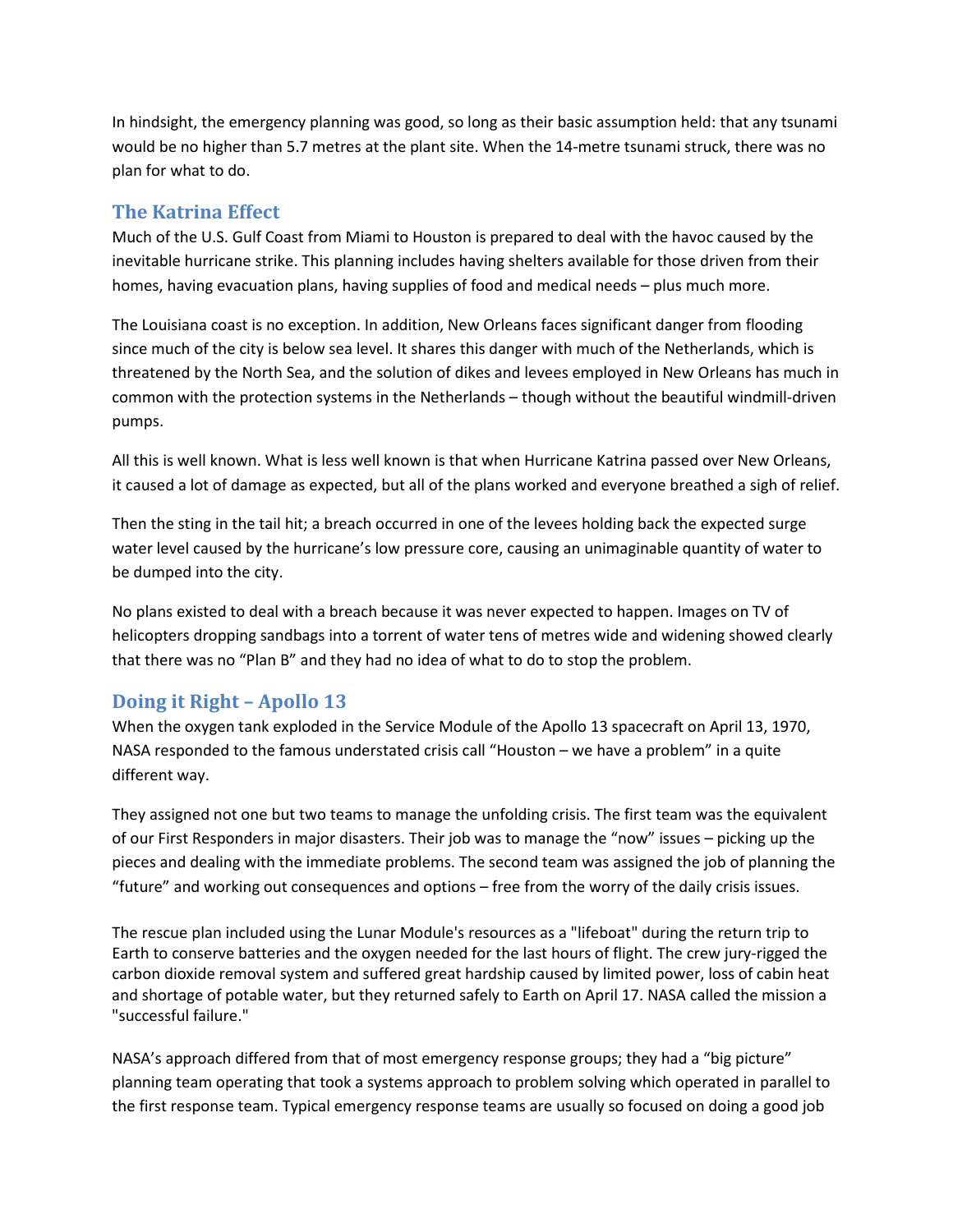In hindsight, the emergency planning was good, so long as their basic assumption held: that any tsunami would be no higher than 5.7 metres at the plant site. When the 14-metre tsunami struck, there was no plan for what to do.

### **The Katrina Effect**

Much of the U.S. Gulf Coast from Miami to Houston is prepared to deal with the havoc caused by the inevitable hurricane strike. This planning includes having shelters available for those driven from their homes, having evacuation plans, having supplies of food and medical needs – plus much more.

The Louisiana coast is no exception. In addition, New Orleans faces significant danger from flooding since much of the city is below sea level. It shares this danger with much of the Netherlands, which is threatened by the North Sea, and the solution of dikes and levees employed in New Orleans has much in common with the protection systems in the Netherlands – though without the beautiful windmill-driven pumps.

All this is well known. What is less well known is that when Hurricane Katrina passed over New Orleans, it caused a lot of damage as expected, but all of the plans worked and everyone breathed a sigh of relief.

Then the sting in the tail hit; a breach occurred in one of the levees holding back the expected surge water level caused by the hurricane's low pressure core, causing an unimaginable quantity of water to be dumped into the city.

No plans existed to deal with a breach because it was never expected to happen. Images on TV of helicopters dropping sandbags into a torrent of water tens of metres wide and widening showed clearly that there was no "Plan B" and they had no idea of what to do to stop the problem.

## **Doing it Right – Apollo 13**

When the oxygen tank exploded in the Service Module of the Apollo 13 spacecraft on April 13, 1970, NASA responded to the famous understated crisis call "Houston – we have a problem" in a quite different way.

They assigned not one but two teams to manage the unfolding crisis. The first team was the equivalent of our First Responders in major disasters. Their job was to manage the "now" issues – picking up the pieces and dealing with the immediate problems. The second team was assigned the job of planning the "future" and working out consequences and options – free from the worry of the daily crisis issues.

The rescue plan included using the [Lunar Module'](http://en.wikipedia.org/wiki/Lunar_Module)s resources as a "lifeboat" during the return trip to Earth to conserve batteries and the oxygen needed for the last hours of flight. The crew jury-rigged the carbon dioxide removal system and suffered great hardship caused by limited power, loss of cabin heat and shortage of potable water, but they returned safely to Earth on April 17. [NASA](http://en.wikipedia.org/wiki/NASA) called the mission a "successful failure."

NASA's approach differed from that of most emergency response groups; they had a "big picture" planning team operating that took a systems approach to problem solving which operated in parallel to the first response team. Typical emergency response teams are usually so focused on doing a good job